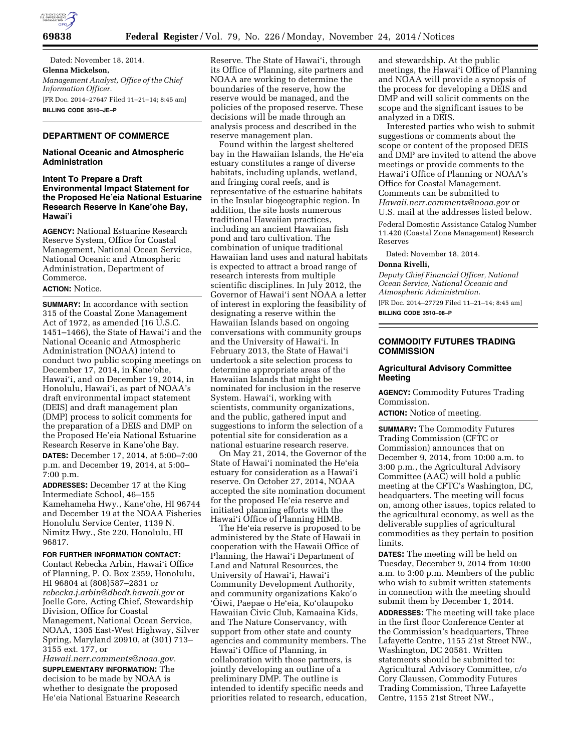

Dated: November 18, 2014. **Glenna Mickelson,**  *Management Analyst, Office of the Chief Information Officer.*  [FR Doc. 2014–27647 Filed 11–21–14; 8:45 am] **BILLING CODE 3510–JE–P** 

# **DEPARTMENT OF COMMERCE**

### **National Oceanic and Atmospheric Administration**

## **Intent To Prepare a Draft Environmental Impact Statement for the Proposed He'eia National Estuarine Research Reserve in Kane'ohe Bay, Hawai'i**

**AGENCY:** National Estuarine Research Reserve System, Office for Coastal Management, National Ocean Service, National Oceanic and Atmospheric Administration, Department of Commerce.

# **ACTION:** Notice.

**SUMMARY:** In accordance with section 315 of the Coastal Zone Management Act of 1972, as amended (16 U.S.C. 1451–1466), the State of Hawai'i and the National Oceanic and Atmospheric Administration (NOAA) intend to conduct two public scoping meetings on December 17, 2014, in Kane'ohe, Hawai'i, and on December 19, 2014, in Honolulu, Hawai'i, as part of NOAA's draft environmental impact statement (DEIS) and draft management plan (DMP) process to solicit comments for the preparation of a DEIS and DMP on the Proposed He'eia National Estuarine Research Reserve in Kane'ohe Bay. **DATES:** December 17, 2014, at 5:00–7:00 p.m. and December 19, 2014, at 5:00– 7:00 p.m.

**ADDRESSES:** December 17 at the King Intermediate School, 46–155 Kamehameha Hwy., Kane'ohe, HI 96744 and December 19 at the NOAA Fisheries Honolulu Service Center, 1139 N. Nimitz Hwy., Ste 220, Honolulu, HI 96817.

#### **FOR FURTHER INFORMATION CONTACT:**

Contact Rebecka Arbin, Hawai'i Office of Planning, P. O. Box 2359, Honolulu, HI 96804 at (808)587–2831 or *[rebecka.j.arbin@dbedt.hawaii.gov](mailto:rebecka.j.arbin@dbedt.hawaii.gov)* or Joelle Gore, Acting Chief, Stewardship Division, Office for Coastal Management, National Ocean Service, NOAA, 1305 East-West Highway, Silver Spring, Maryland 20910, at (301) 713– 3155 ext. 177, or

*[Hawaii.nerr.comments@noaa.gov.](mailto:Hawaii.nerr.comments@noaa.gov)*  **SUPPLEMENTARY INFORMATION:** The decision to be made by NOAA is whether to designate the proposed He'eia National Estuarine Research Reserve. The State of Hawai'i, through its Office of Planning, site partners and NOAA are working to determine the boundaries of the reserve, how the reserve would be managed, and the policies of the proposed reserve. These decisions will be made through an analysis process and described in the reserve management plan.

Found within the largest sheltered bay in the Hawaiian Islands, the He'eia estuary constitutes a range of diverse habitats, including uplands, wetland, and fringing coral reefs, and is representative of the estuarine habitats in the Insular biogeographic region. In addition, the site hosts numerous traditional Hawaiian practices, including an ancient Hawaiian fish pond and taro cultivation. The combination of unique traditional Hawaiian land uses and natural habitats is expected to attract a broad range of research interests from multiple scientific disciplines. In July 2012, the Governor of Hawai'i sent NOAA a letter of interest in exploring the feasibility of designating a reserve within the Hawaiian Islands based on ongoing conversations with community groups and the University of Hawai'i. In February 2013, the State of Hawai'i undertook a site selection process to determine appropriate areas of the Hawaiian Islands that might be nominated for inclusion in the reserve System. Hawai'i, working with scientists, community organizations, and the public, gathered input and suggestions to inform the selection of a potential site for consideration as a national estuarine research reserve.

On May 21, 2014, the Governor of the State of Hawai'i nominated the He'eia estuary for consideration as a Hawai'i reserve. On October 27, 2014, NOAA accepted the site nomination document for the proposed He'eia reserve and initiated planning efforts with the Hawai'i Office of Planning HIMB.

The He'eia reserve is proposed to be administered by the State of Hawaii in cooperation with the Hawaii Office of Planning, the Hawai'i Department of Land and Natural Resources, the University of Hawai'i, Hawai'i Community Development Authority, and community organizations Kako'o 'Ōiwi, Paepae o He'eia, Ko'olaupoko Hawaiian Civic Club, Kamaaina Kids, and The Nature Conservancy, with support from other state and county agencies and community members. The Hawai'i Office of Planning, in collaboration with those partners, is jointly developing an outline of a preliminary DMP. The outline is intended to identify specific needs and priorities related to research, education, and stewardship. At the public meetings, the Hawai'i Office of Planning and NOAA will provide a synopsis of the process for developing a DEIS and DMP and will solicit comments on the scope and the significant issues to be analyzed in a DEIS.

Interested parties who wish to submit suggestions or comments about the scope or content of the proposed DEIS and DMP are invited to attend the above meetings or provide comments to the Hawai'i Office of Planning or NOAA's Office for Coastal Management. Comments can be submitted to *[Hawaii.nerr.comments@noaa.gov](mailto:Hawaii.nerr.comments@noaa.gov)* or U.S. mail at the addresses listed below.

Federal Domestic Assistance Catalog Number 11.420 (Coastal Zone Management) Research Reserves

Dated: November 18, 2014.

## **Donna Rivelli,**

*Deputy Chief Financial Officer, National Ocean Service, National Oceanic and Atmospheric Administration.* 

[FR Doc. 2014–27729 Filed 11–21–14; 8:45 am] **BILLING CODE 3510–08–P** 

### **COMMODITY FUTURES TRADING COMMISSION**

## **Agricultural Advisory Committee Meeting**

**AGENCY:** Commodity Futures Trading Commission.

**ACTION:** Notice of meeting.

**SUMMARY:** The Commodity Futures Trading Commission (CFTC or Commission) announces that on December 9, 2014, from 10:00 a.m. to 3:00 p.m., the Agricultural Advisory Committee (AAC) will hold a public meeting at the CFTC's Washington, DC, headquarters. The meeting will focus on, among other issues, topics related to the agricultural economy, as well as the deliverable supplies of agricultural commodities as they pertain to position limits.

**DATES:** The meeting will be held on Tuesday, December 9, 2014 from 10:00 a.m. to 3:00 p.m. Members of the public who wish to submit written statements in connection with the meeting should submit them by December 1, 2014. **ADDRESSES:** The meeting will take place in the first floor Conference Center at the Commission's headquarters, Three Lafayette Centre, 1155 21st Street NW., Washington, DC 20581. Written statements should be submitted to: Agricultural Advisory Committee, c/o Cory Claussen, Commodity Futures Trading Commission, Three Lafayette Centre, 1155 21st Street NW.,